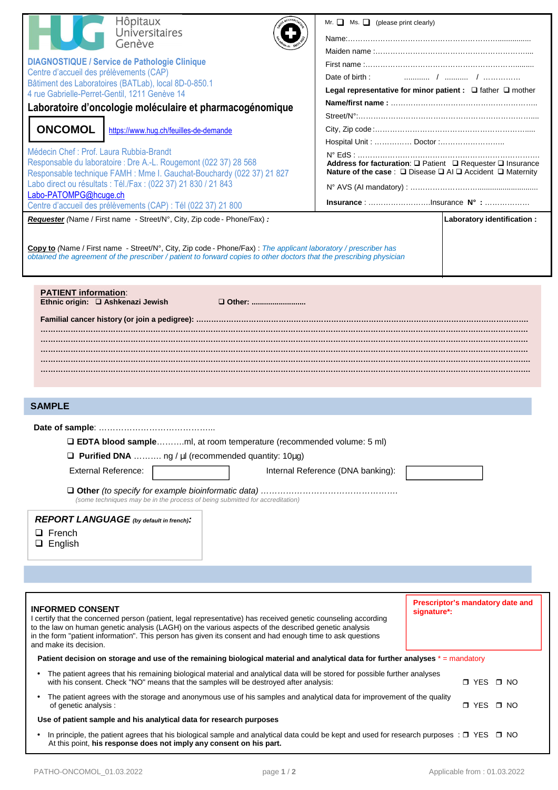| Hôpitaux                                                                                                                                                                                                              | Mr. $\Box$ Ms. $\Box$ (please print clearly)                                                                                                            |  |  |  |  |
|-----------------------------------------------------------------------------------------------------------------------------------------------------------------------------------------------------------------------|---------------------------------------------------------------------------------------------------------------------------------------------------------|--|--|--|--|
| <b>Community</b> Universitaires                                                                                                                                                                                       |                                                                                                                                                         |  |  |  |  |
| Genève                                                                                                                                                                                                                |                                                                                                                                                         |  |  |  |  |
| <b>DIAGNOSTIQUE / Service de Pathologie Clinique</b>                                                                                                                                                                  |                                                                                                                                                         |  |  |  |  |
| Centre d'accueil des prélèvements (CAP)                                                                                                                                                                               | Date of birth:                                                                                                                                          |  |  |  |  |
| Bâtiment des Laboratoires (BATLab), local 8D-0-850.1<br>4 rue Gabrielle-Perret-Gentil, 1211 Genève 14                                                                                                                 | Legal representative for minor patient : $\Box$ father $\Box$ mother                                                                                    |  |  |  |  |
| Laboratoire d'oncologie moléculaire et pharmacogénomique                                                                                                                                                              |                                                                                                                                                         |  |  |  |  |
|                                                                                                                                                                                                                       |                                                                                                                                                         |  |  |  |  |
| <b>ONCOMOL</b><br>https://www.hug.ch/feuilles-de-demande                                                                                                                                                              |                                                                                                                                                         |  |  |  |  |
|                                                                                                                                                                                                                       |                                                                                                                                                         |  |  |  |  |
| Médecin Chef : Prof. Laura Rubbia-Brandt<br>Responsable du laboratoire : Dre A.-L. Rougemont (022 37) 28 568                                                                                                          |                                                                                                                                                         |  |  |  |  |
| Responsable technique FAMH : Mme I. Gauchat-Bouchardy (022 37) 21 827                                                                                                                                                 | Address for facturation: Q Patient Q Requester Q Insurance<br>Nature of the case: $\square$ Disease $\square$ Al $\square$ Accident $\square$ Maternity |  |  |  |  |
| Labo direct ou résultats : Tél./Fax : (022 37) 21 830 / 21 843                                                                                                                                                        |                                                                                                                                                         |  |  |  |  |
| Labo-PATOMPG@hcuge.ch                                                                                                                                                                                                 | Insurance : Insurance N° :                                                                                                                              |  |  |  |  |
| Centre d'accueil des prélèvements (CAP) : Tél (022 37) 21 800                                                                                                                                                         |                                                                                                                                                         |  |  |  |  |
| Requester (Name / First name - Street/N°, City, Zip code - Phone/Fax) :                                                                                                                                               | Laboratory identification :                                                                                                                             |  |  |  |  |
|                                                                                                                                                                                                                       |                                                                                                                                                         |  |  |  |  |
| Copy to (Name / First name - Street/N°, City, Zip code - Phone/Fax) : The applicant laboratory / prescriber has                                                                                                       |                                                                                                                                                         |  |  |  |  |
| obtained the agreement of the prescriber / patient to forward copies to other doctors that the prescribing physician                                                                                                  |                                                                                                                                                         |  |  |  |  |
|                                                                                                                                                                                                                       |                                                                                                                                                         |  |  |  |  |
| <b>PATIENT information:</b><br>Ethnic origin: Q Ashkenazi Jewish<br>□ Other:                                                                                                                                          |                                                                                                                                                         |  |  |  |  |
|                                                                                                                                                                                                                       |                                                                                                                                                         |  |  |  |  |
|                                                                                                                                                                                                                       |                                                                                                                                                         |  |  |  |  |
|                                                                                                                                                                                                                       |                                                                                                                                                         |  |  |  |  |
|                                                                                                                                                                                                                       |                                                                                                                                                         |  |  |  |  |
| <b>SAMPLE</b>                                                                                                                                                                                                         |                                                                                                                                                         |  |  |  |  |
|                                                                                                                                                                                                                       |                                                                                                                                                         |  |  |  |  |
|                                                                                                                                                                                                                       |                                                                                                                                                         |  |  |  |  |
| <b>LEDTA blood sampleml, at room temperature (recommended volume: 5 ml)</b>                                                                                                                                           |                                                                                                                                                         |  |  |  |  |
| $\Box$ Purified DNA  ng / $\mu$ I (recommended quantity: 10 $\mu$ g)                                                                                                                                                  |                                                                                                                                                         |  |  |  |  |
| <b>External Reference:</b>                                                                                                                                                                                            | Internal Reference (DNA banking):                                                                                                                       |  |  |  |  |
|                                                                                                                                                                                                                       |                                                                                                                                                         |  |  |  |  |
| (some techniques may be in the process of being submitted for accreditation)                                                                                                                                          |                                                                                                                                                         |  |  |  |  |
| <b>REPORT LANGUAGE</b> (by default in french).                                                                                                                                                                        |                                                                                                                                                         |  |  |  |  |
| $\Box$ French                                                                                                                                                                                                         |                                                                                                                                                         |  |  |  |  |
| $\Box$ English                                                                                                                                                                                                        |                                                                                                                                                         |  |  |  |  |
|                                                                                                                                                                                                                       |                                                                                                                                                         |  |  |  |  |
|                                                                                                                                                                                                                       |                                                                                                                                                         |  |  |  |  |
|                                                                                                                                                                                                                       |                                                                                                                                                         |  |  |  |  |
|                                                                                                                                                                                                                       | Prescriptor's mandatory date and                                                                                                                        |  |  |  |  |
| <b>INFORMED CONSENT</b>                                                                                                                                                                                               | signature*:                                                                                                                                             |  |  |  |  |
| I certify that the concerned person (patient, legal representative) has received genetic counseling according<br>to the law on human genetic analysis (LAGH) on the various aspects of the described genetic analysis |                                                                                                                                                         |  |  |  |  |
| in the form "patient information". This person has given its consent and had enough time to ask questions                                                                                                             |                                                                                                                                                         |  |  |  |  |
| and make its decision.                                                                                                                                                                                                |                                                                                                                                                         |  |  |  |  |
| Patient decision on storage and use of the remaining biological material and analytical data for further analyses * = mandatory                                                                                       |                                                                                                                                                         |  |  |  |  |
| The patient agrees that his remaining biological material and analytical data will be stored for possible further analyses<br>with his consent. Check "NO" means that the samples will be destroyed after analysis:   | □ YES □ NO                                                                                                                                              |  |  |  |  |
| The patient agrees with the storage and anonymous use of his samples and analytical data for improvement of the quality<br>of genetic analysis :                                                                      | $\Box$ YES $\Box$ NO                                                                                                                                    |  |  |  |  |

## **Use of patient sample and his analytical data for research purposes**

In principle, the patient agrees that his biological sample and analytical data could be kept and used for research purposes :  $\Box$  YES  $\Box$  NO At this point, **his response does not imply any consent on his part.**